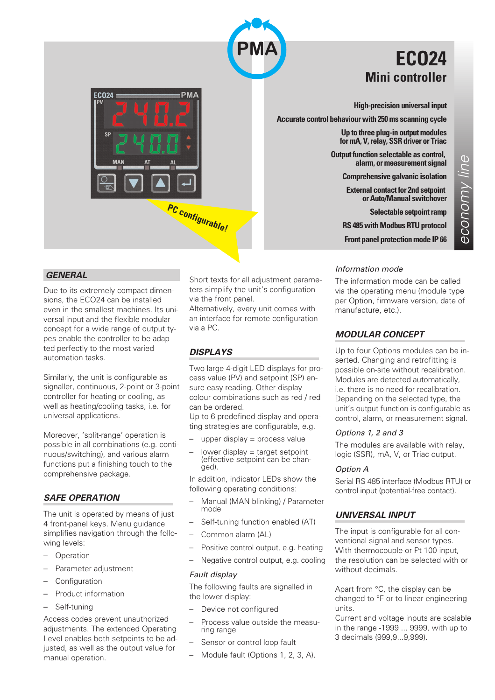

## **ECO24 Mini controller**

**High-precision universal input**

**Accurate control behaviour with 250 ms scanning cycle**

**Up to three plug-in output modules for mA, V, relay, SSR driver or Triac**

**Output function selectable as control, alarm, or measurement signal**

**Comprehensive galvanic isolation**

**External contact for 2nd setpoint or Auto/Manual switchover**

**Selectable setpoint ramp**

**RS 485 with Modbus RTU protocol**

**Front panel protection mode IP 66**

 $\overline{\mathbb{Q}}$ 

## *GENERAL*

Due to its extremely compact dimensions, the ECO24 can be installed even in the smallest machines. Its universal input and the flexible modular concept for a wide range of output types enable the controller to be adapted perfectly to the most varied automation tasks.

 $ECO24$ 

**MAN** 

Similarly, the unit is configurable as signaller, continuous, 2-point or 3-point controller for heating or cooling, as well as heating/cooling tasks, i.e. for universal applications.

Moreover, 'split-range' operation is possible in all combinations (e.g. continuous/switching), and various alarm functions put a finishing touch to the comprehensive package.

## *SAFE OPERATION*

The unit is operated by means of just 4 front-panel keys. Menu guidance simplifies navigation through the following levels:

- **Operation**
- Parameter adjustment
- **Configuration**
- Product information
- Self-tuning

Access codes prevent unauthorized adjustments. The extended Operating Level enables both setpoints to be adjusted, as well as the output value for manual operation.

Short texts for all adjustment parameters simplify the unit's configuration via the front panel.

Alternatively, every unit comes with an interface for remote configuration via a PC.

## *DISPLAYS*

**PC configurable!**

**PMA** 

Two large 4-digit LED displays for process value (PV) and setpoint (SP) ensure easy reading. Other display colour combinations such as red / red can be ordered.

Up to 6 predefined display and operating strategies are configurable, e.g.

- upper display  $=$  process value
- $-$  lower display  $=$  target setpoint (effective setpoint can be chan-<br>ged).

In addition, indicator LEDs show the following operating conditions:

- Manual (MAN blinking) / Parameter mode
- Self-tuning function enabled (AT)
- Common alarm (AL)
- Positive control output, e.g. heating
- Negative control output, e.g. cooling

#### *Fault display*

The following faults are signalled in the lower display:

- Device not configured
- Process value outside the measu- ring range
- Sensor or control loop fault
- Module fault (Options 1, 2, 3, A).

#### *Information mode*

The information mode can be called via the operating menu (module type per Option, firmware version, date of manufacture, etc.).

## *MODULAR CONCEPT*

Up to four Options modules can be inserted. Changing and retrofitting is possible on-site without recalibration. Modules are detected automatically, i.e. there is no need for recalibration. Depending on the selected type, the unit's output function is configurable as control, alarm, or measurement signal.

#### *Options 1, 2 and 3*

The modules are available with relay, logic (SSR), mA, V, or Triac output.

#### *Option A*

Serial RS 485 interface (Modbus RTU) or control input (potential-free contact).

## *UNIVERSAL INPUT*

The input is configurable for all conventional signal and sensor types. With thermocouple or Pt 100 input, the resolution can be selected with or without decimals.

Apart from °C, the display can be changed to °F or to linear engineering units.

Current and voltage inputs are scalable in the range -1999 ... 9999, with up to 3 decimals (999,9...9,999).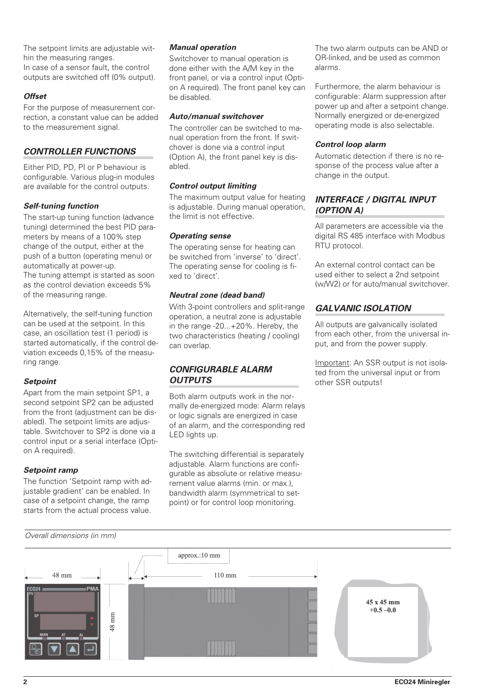The setpoint limits are adjustable within the measuring ranges. In case of a sensor fault, the control outputs are switched off (0% output).

## *Offset*

For the purpose of measurement correction, a constant value can be added to the measurement signal.

## *CONTROLLER FUNCTIONS*

Either PID, PD, PI or P behaviour is configurable. Various plug-in modules are available for the control outputs.

## *Self-tuning function*

The start-up tuning function (advance tuning) determined the best PID parameters by means of a 100% step change of the output, either at the push of a button (operating menu) or automatically at power-up. The tuning attempt is started as soon as the control deviation exceeds 5% of the measuring range.

Alternatively, the self-tuning function can be used at the setpoint. In this case, an oscillation test (1 period) is started automatically, if the control deviation exceeds 0,15% of the measuring range.

## *Setpoint*

Apart from the main setpoint SP1, a second setpoint SP2 can be adjusted from the front (adjustment can be disabled). The setpoint limits are adjustable. Switchover to SP2 is done via a control input or a serial interface (Option A required).

## *Setpoint ramp*

The function 'Setpoint ramp with adjustable gradient' can be enabled. In case of a setpoint change, the ramp starts from the actual process value.

#### *Manual operation*

Switchover to manual operation is done either with the A/M key in the front panel, or via a control input (Option A required). The front panel key can be disabled.

## *Auto/manual switchover*

The controller can be switched to manual operation from the front. If switchover is done via a control input (Option A), the front panel key is disabled.

## *Control output limiting*

The maximum output value for heating is adjustable. During manual operation, the limit is not effective.

## *Operating sense*

The operating sense for heating can be switched from 'inverse' to 'direct'. The operating sense for cooling is fixed to 'direct'.

## *Neutral zone (dead band)*

With 3-point controllers and split-range operation, a neutral zone is adjustable in the range -20...+20%. Hereby, the two characteristics (heating / cooling) can overlap.

## *CONFIGURABLE ALARM OUTPUTS*

Both alarm outputs work in the normally de-energized mode: Alarm relays or logic signals are energized in case of an alarm, and the corresponding red LED lights up.

The switching differential is separately adjustable. Alarm functions are configurable as absolute or relative measurement value alarms (min. or max.), bandwidth alarm (symmetrical to setpoint) or for control loop monitoring.

The two alarm outputs can be AND or OR-linked, and be used as common alarms.

Furthermore, the alarm behaviour is configurable: Alarm suppression after power up and after a setpoint change. Normally energized or de-energized operating mode is also selectable.

## *Control loop alarm*

Automatic detection if there is no response of the process value after a change in the output.

## *INTERFACE / DIGITAL INPUT (OPTION A)*

All parameters are accessible via the digital RS 485 interface with Modbus RTU protocol.

An external control contact can be used either to select a 2nd setpoint (w/W2) or for auto/manual switchover.

## *GALVANIC ISOLATION*

All outputs are galvanically isolated from each other, from the universal input, and from the power supply.

Important: An SSR output is not isolated from the universal input or from other SSR outputs!

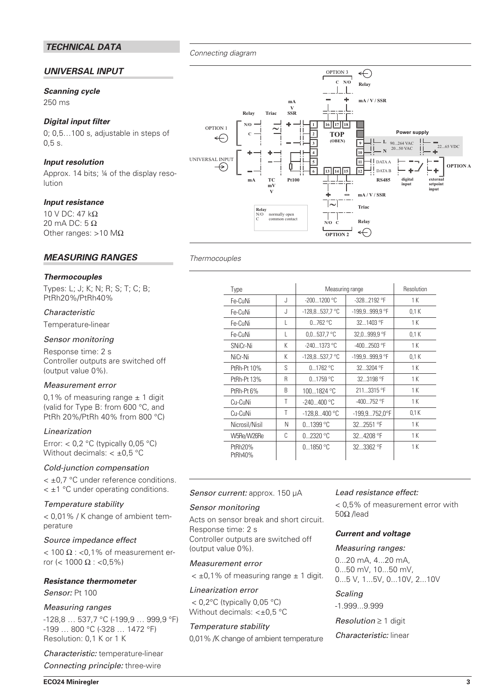## *TECHNICAL DATA*

## *UNIVERSAL INPUT*

#### *Scanning cycle*

250 ms

## *Digital input filter*

0; 0,5…100 s, adjustable in steps of 0,5 s.

## *Input resolution*

Approx. 14 bits; ¼ of the display resolution

## *Input resistance*

10 V DC: 47 kΩ 20 mA DC: 5 Ω Other ranges: >10 M $\Omega$ 

## *MEASURING RANGES*

#### *Thermocouples*

Types: L; J; K; N; R; S; T; C; B; PtRh20%/PtRh40%

#### *Characteristic*

Temperature-linear

## *Sensor monitoring*

Response time: 2 s Controller outputs are switched off (output value 0%).

#### *Measurement error*

0,1% of measuring range  $\pm$  1 digit (valid for Type B: from 600 °C, and PtRh 20%/PtRh 40% from 800 °C)

## *Linearization*

Error:  $< 0.2$  °C (typically 0.05 °C) Without decimals:  $< \pm 0.5$  °C

#### *Cold-junction compensation*

< ±0,7 °C under reference conditions.  $\leq$  ±1 °C under operating conditions.

#### *Temperature stability*

< 0,01% / K change of ambient temperature

#### *Source impedance effect*

 $<$  100  $\Omega$  : <0,1% of measurement error (< 1000 Ω : <0,5%)

#### *Resistance thermometer*

*Sensor:* Pt 100

#### *Measuring ranges*

-128,8 … 537,7 °C (-199,9 … 999,9 °F) -199 … 800 °C (-328 … 1472 °F) Resolution: 0,1 K or 1 K

*Characteristic:* temperature-linear *Connecting principle:* three-wire



## *Thermocouples*

*Connecting diagram*

| Type               |    | Measuring range  |                        | Resolution |  |  |
|--------------------|----|------------------|------------------------|------------|--|--|
| Fe-CuNi            | J. | $-2001200 °C$    | $-328.2192$ °F         | 1 K        |  |  |
| Fe-CuNi            | J  | $-128,8537,7$ °C | -199,9999,9 °F         | 0.1K       |  |  |
| Fe-CuNi            | L  | $0762$ °C        | 321403 °F              | 1 K        |  |  |
| Fe-CuNi            | L  | $0,0537,7$ °C    | 32,0999,9 °F           | 0.1K       |  |  |
| SNiCr-Ni           | K  | $-2401373$ °C    | $-4002503$ °F          | 1 K        |  |  |
| NiCr-Ni            | K  | $-128,8537,7$ °C | -199,9999,9 °F         | 0.1K       |  |  |
| PtRh-Pt 10%        | S  | 0.1762 °C        | 32.3204 °F             | 1 K        |  |  |
| PtRh-Pt 13%        | R  | $01759$ °C       | 32.3198 °F             | 1 K        |  |  |
| PtRh-Pt 6%         | B  | 1001824 °C       | 2113315 °F             | 1 K        |  |  |
| Cu-CuNi            | Τ  | $-240400$ °C     | $-400752$ °F           | 1 K        |  |  |
| Cu-CuNi            | Τ  | $-128.8400$ °C   | $-199.9752.0^{\circ}F$ | 0.1K       |  |  |
| Nicrosil/Nisil     | Ν  | $01399$ °C       | 322551 °F              | 1 K        |  |  |
| W5Re/W26Re         | C  | $02320$ °C       | 324208 °F              | 1 K        |  |  |
| PtRh20%<br>PtRh40% |    | 01850 °C         | $323362$ °F            | 1 K        |  |  |

#### *Sensor current:* approx. 150 µA

#### *Sensor monitoring*

Acts on sensor break and short circuit. Response time: 2 s Controller outputs are switched off (output value 0%).

#### *Measurement error*

 $< \pm 0.1$ % of measuring range  $\pm 1$  digit.

#### *Linearization error*

 $<$  0,2 $\degree$ C (typically 0,05 $\degree$ C) Without decimals: < $\pm$ 0,5 °C

#### *Temperature stability*

0,01% /K change of ambient temperature

## *Lead resistance effect:*

< 0,5% of measurement error with 50Ω /lead

## *Current and voltage*

#### *Measuring ranges:*

0...20 mA, 4...20 mA, 0...50 mV, 10...50 mV, 0...5 V, 1...5V, 0...10V, 2...10V

## *Scaling*

-1.999...9.999

*Resolution* ≥ 1 digit

#### *Characteristic:* linear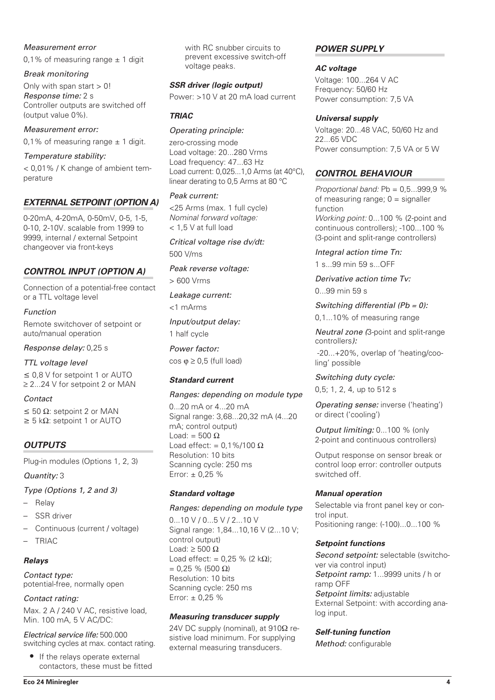## *Measurement error*

0,1% of measuring range  $\pm$  1 digit

## *Break monitoring*

Only with span start  $> 0!$ *Response time:* 2 s Controller outputs are switched off (output value 0%).

## *Measurement error:*

0.1% of measuring range  $\pm$  1 digit.

## *Temperature stability:*

< 0,01% / K change of ambient temperature

## *EXTERNAL SETPOINT (OPTION A)*

0-20mA, 4-20mA, 0-50mV, 0-5, 1-5, 0-10, 2-10V. scalable from 1999 to 9999, internal / external Setpoint changeover via front-keys

## *CONTROL INPUT (OPTION A)*

Connection of a potential-free contact or a TTL voltage level

## *Function*

Remote switchover of setpoint or auto/manual operation

*Response delay:* 0,25 s

## *TTL voltage level*

 $\leq$  0,8 V for setpoint 1 or AUTO ≥ 2...24 V for setpoint 2 or MAN

## *Contact*

 $\leq$  50  $\Omega$ : setpoint 2 or MAN  $\geq$  5 kΩ: setpoint 1 or AUTO

## *OUTPUTS*

Plug-in modules (Options 1, 2, 3)

## *Quantity:* 3

## *Type (Options 1, 2 and 3)*

- Relay
- SSR driver
- Continuous (current / voltage)
- TRIAC

## *Relays*

*Contact type:* potential-free, normally open

## *Contact rating:*

Max. 2 A / 240 V AC, resistive load, Min. 100 mA, 5 V AC/DC:

*Electrical service life:* 500.000 switching cycles at max. contact rating.

• If the relays operate external contactors, these must be fitted with RC snubber circuits to prevent excessive switch-off voltage peaks.

## *SSR driver (logic output)*

Power: >10 V at 20 mA load current

## *TRIAC*

## *Operating principle:*

zero-crossing mode Load voltage: 20...280 Vrms Load frequency: 47...63 Hz Load current: 0,025...1,0 Arms (at 40°C), linear derating to 0,5 Arms at 80 °C

## *Peak current:*

<25 Arms (max. 1 full cycle) *Nominal forward voltage:* < 1,5 V at full load

*Critical voltage rise dv/dt:* 500 V/ms

*Peak reverse voltage:*

> 600 Vrms

*Leakage current:*

<1 mArms

*Input/output delay:*

1 half cycle

*Power factor:*  $\cos \varphi \geq 0.5$  (full load)

## *Standard current*

## *Ranges: depending on module type*

0...20 mA or 4...20 mA Signal range: 3,68...20,32 mA (4...20 mA; control output) Load: =  $500 \Omega$ Load effect: =  $0.1\%/100 \Omega$ Resolution: 10 bits Scanning cycle: 250 ms Error:  $\pm 0.25$  %

## *Standard voltage*

## *Ranges: depending on module type*

0...10 V / 0...5 V / 2...10 V Signal range: 1,84...10,16 V (2...10 V; control output) Load:  $\geq 500 \Omega$ Load effect: =  $0,25 \%$  (2 kΩ); = 0,25 % (500 Ω) Resolution: 10 bits Scanning cycle: 250 ms Error:  $\pm 0.25$  %

## *Measuring transducer supply*

24V DC supply (nominal), at  $910\Omega$  resistive load minimum. For supplying external measuring transducers.

## *POWER SUPPLY*

## *AC voltage*

Voltage: 100...264 V AC Frequency: 50/60 Hz Power consumption: 7,5 VA

## *Universal supply*

Voltage: 20...48 VAC, 50/60 Hz and 22...65 VDC Power consumption: 7,5 VA or 5 W

## *CONTROL BEHAVIOUR*

*Proportional band:* Pb = 0,5...999,9 % of measuring range;  $0 =$  signaller function *Working point:* 0...100 % (2-point and continuous controllers); -100...100 % (3-point and split-range controllers)

## *Integral action time Tn:*

1 s...99 min 59 s...OFF

*Derivative action time Tv:*

0...99 min 59 s

*Switching differential (Pb = 0):* 0,1...10% of measuring range

*Neutral zone (*3-point and split-range controllers*):*

-20...+20%, overlap of 'heating/cooling' possible

## *Switching duty cycle:*

0,5; 1, 2, 4, up to 512 s

*Operating sense:* inverse ('heating') or direct ('cooling')

*Output limiting:* 0...100 % (only 2-point and continuous controllers)

Output response on sensor break or control loop error: controller outputs switched off.

## *Manual operation*

Selectable via front panel key or control input. Positioning range: (-100)...0...100 %

## *Setpoint functions*

*Second setpoint:* selectable (switchover via control input) *Setpoint ramp:* 1...9999 units / h or ramp OFF *Setpoint limits:* adjustable External Setpoint: with according analog input.

## *Self-tuning function*

*Method:* configurable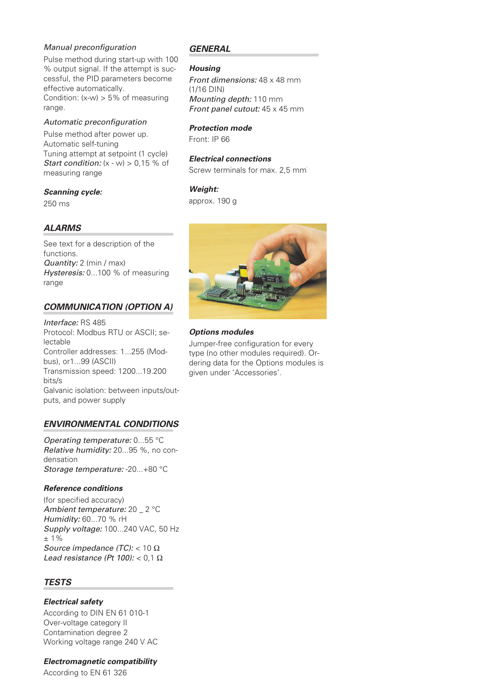## *Manual preconfiguration*

Pulse method during start-up with 100 % output signal. If the attempt is successful, the PID parameters become effective automatically. Condition:  $(x-w) > 5%$  of measuring range.

#### *Automatic preconfiguration*

Pulse method after power up. Automatic self-tuning Tuning attempt at setpoint (1 cycle) *Start condition:* (x - w) > 0,15 % of measuring range

#### *Scanning cycle:*

250 ms

## *ALARMS*

See text for a description of the functions. *Quantity:* 2 (min / max) *Hysteresis:* 0...100 % of measuring range

## *COMMUNICATION (OPTION A)*

*Interface:* RS 485 Protocol: Modbus RTU or ASCII; selectable Controller addresses: 1...255 (Modbus), or1...99 (ASCII) Transmission speed: 1200...19.200 bits/s Galvanic isolation: between inputs/outputs, and power supply

## *ENVIRONMENTAL CONDITIONS*

*Operating temperature:* 0...55 °C *Relative humidity:* 20...95 %, no condensation *Storage temperature:* -20...+80 °C

## *Reference conditions*

(for specified accuracy) *Ambient temperature:* 20 \_ 2 °C *Humidity:* 60...70 % rH *Supply voltage:* 100...240 VAC, 50 Hz ± 1% *Source impedance (TC):* < 10 Ω *Lead resistance (Pt 100):* < 0,1 Ω

## *TESTS*

## *Electrical safety*

According to DIN EN 61 010-1 Over-voltage category II Contamination degree 2 Working voltage range 240 V AC

*Electromagnetic compatibility* According to EN 61 326

## *GENERAL*

#### *Housing*

*Front dimensions:* 48 x 48 mm (1/16 DIN) *Mounting depth:* 110 mm *Front panel cutout:* 45 x 45 mm

## *Protection mode*

Front: IP 66

#### *Electrical connections*

Screw terminals for max. 2.5 mm

## *Weight:*

approx. 190 g



## *Options modules*

Jumper-free configuration for every type (no other modules required). Ordering data for the Options modules is given under 'Accessories'.